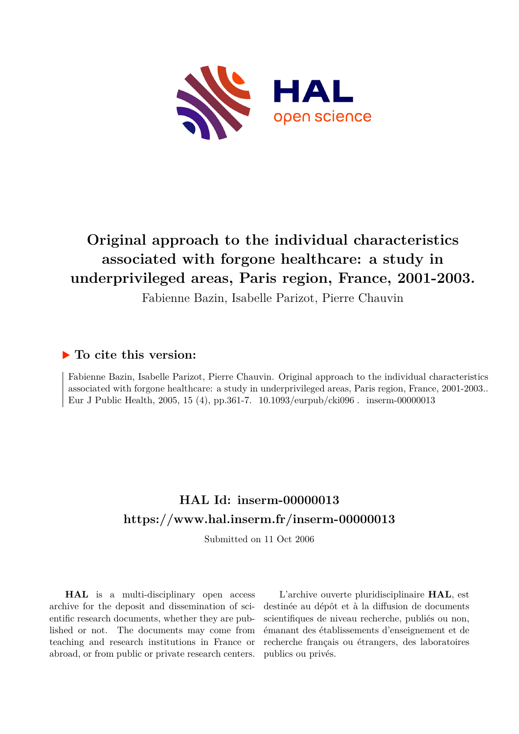

# **Original approach to the individual characteristics associated with forgone healthcare: a study in underprivileged areas, Paris region, France, 2001-2003.**

Fabienne Bazin, Isabelle Parizot, Pierre Chauvin

# **To cite this version:**

Fabienne Bazin, Isabelle Parizot, Pierre Chauvin. Original approach to the individual characteristics associated with forgone healthcare: a study in underprivileged areas, Paris region, France, 2001-2003.. Eur J Public Health, 2005, 15 (4), pp.361-7.  $10.1093$ /eurpub/cki096. inserm-00000013

# **HAL Id: inserm-00000013 <https://www.hal.inserm.fr/inserm-00000013>**

Submitted on 11 Oct 2006

**HAL** is a multi-disciplinary open access archive for the deposit and dissemination of scientific research documents, whether they are published or not. The documents may come from teaching and research institutions in France or abroad, or from public or private research centers.

L'archive ouverte pluridisciplinaire **HAL**, est destinée au dépôt et à la diffusion de documents scientifiques de niveau recherche, publiés ou non, émanant des établissements d'enseignement et de recherche français ou étrangers, des laboratoires publics ou privés.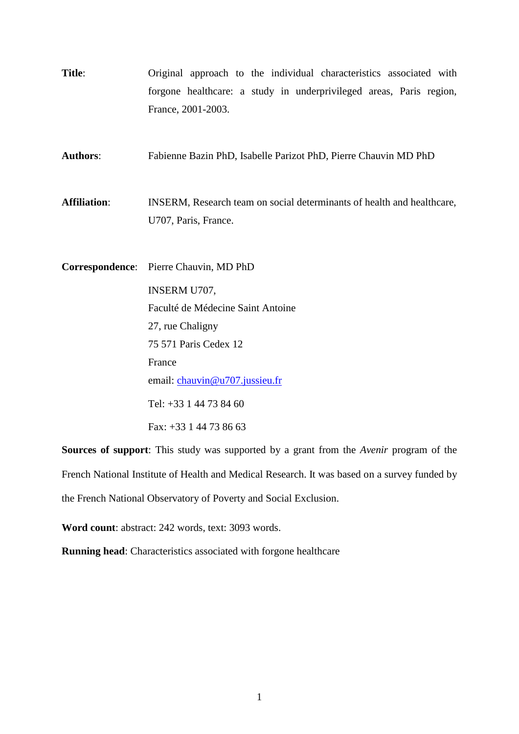**Title**: Original approach to the individual characteristics associated with forgone healthcare: a study in underprivileged areas, Paris region, France, 2001-2003.

**Authors**: Fabienne Bazin PhD, Isabelle Parizot PhD, Pierre Chauvin MD PhD

Affiliation: **INSERM**, Research team on social determinants of health and healthcare, U707, Paris, France.

**Correspondence**: Pierre Chauvin, MD PhD INSERM U707, Faculté de Médecine Saint Antoine 27, rue Chaligny 75 571 Paris Cedex 12 France email: [chauvin@u707.jussieu.fr](mailto:chauvin@u707.jussieu.fr) Tel: +33 1 44 73 84 60 Fax: +33 1 44 73 86 63

**Sources of support**: This study was supported by a grant from the *Avenir* program of the French National Institute of Health and Medical Research. It was based on a survey funded by the French National Observatory of Poverty and Social Exclusion.

**Word count**: abstract: 242 words, text: 3093 words.

**Running head**: Characteristics associated with forgone healthcare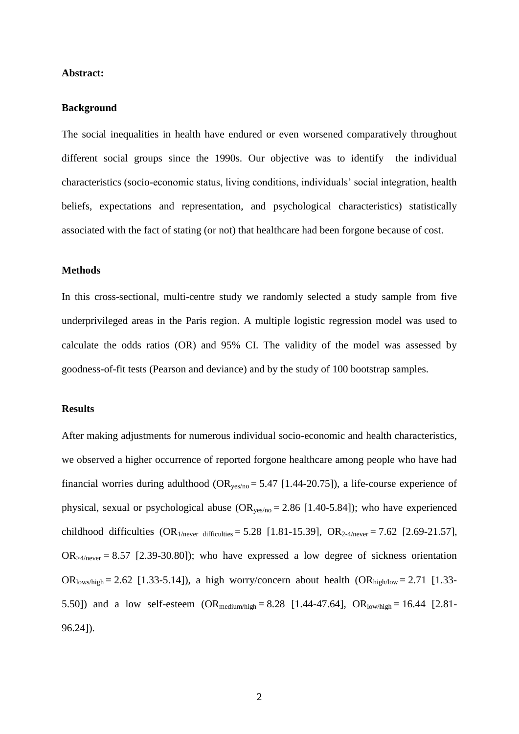#### **Abstract:**

#### **Background**

The social inequalities in health have endured or even worsened comparatively throughout different social groups since the 1990s. Our objective was to identify the individual characteristics (socio-economic status, living conditions, individuals" social integration, health beliefs, expectations and representation, and psychological characteristics) statistically associated with the fact of stating (or not) that healthcare had been forgone because of cost.

#### **Methods**

In this cross-sectional, multi-centre study we randomly selected a study sample from five underprivileged areas in the Paris region. A multiple logistic regression model was used to calculate the odds ratios (OR) and 95% CI. The validity of the model was assessed by goodness-of-fit tests (Pearson and deviance) and by the study of 100 bootstrap samples.

#### **Results**

After making adjustments for numerous individual socio-economic and health characteristics, we observed a higher occurrence of reported forgone healthcare among people who have had financial worries during adulthood ( $OR_{ves/no} = 5.47$  [1.44-20.75]), a life-course experience of physical, sexual or psychological abuse  $(OR_{yes/no} = 2.86 [1.40-5.84])$ ; who have experienced childhood difficulties  $(OR_{1/never\;difficulties} = 5.28 [1.81-15.39], OR_{2.4/never} = 7.62 [2.69-21.57],$  $OR_{\geq 4/\text{never}} = 8.57$  [2.39-30.80]); who have expressed a low degree of sickness orientation OR<sub>lows/high</sub> = 2.62 [1.33-5.14]), a high worry/concern about health  $OR_{\text{high/low}} = 2.71$  [1.33-5.50]) and a low self-esteem  $(OR_{\text{medium/high}} = 8.28 [1.44-47.64], OR_{\text{low/high}} = 16.44 [2.81-1.64]$ 96.24]).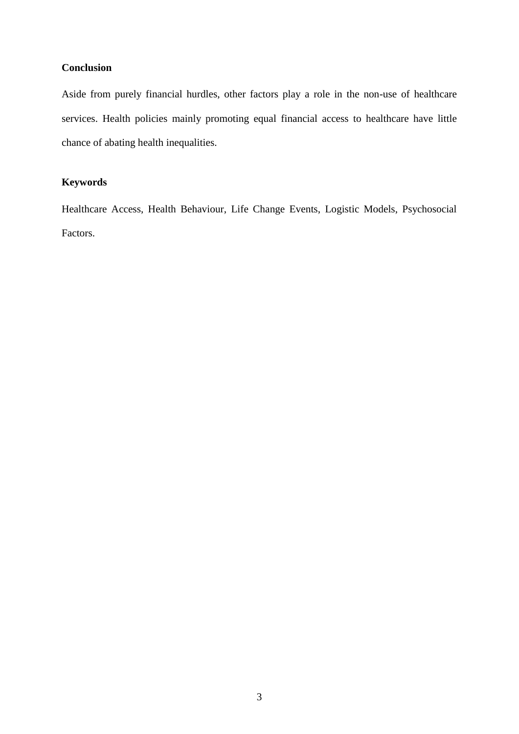### **Conclusion**

Aside from purely financial hurdles, other factors play a role in the non-use of healthcare services. Health policies mainly promoting equal financial access to healthcare have little chance of abating health inequalities.

## **Keywords**

Healthcare Access, Health Behaviour, Life Change Events, Logistic Models, Psychosocial Factors.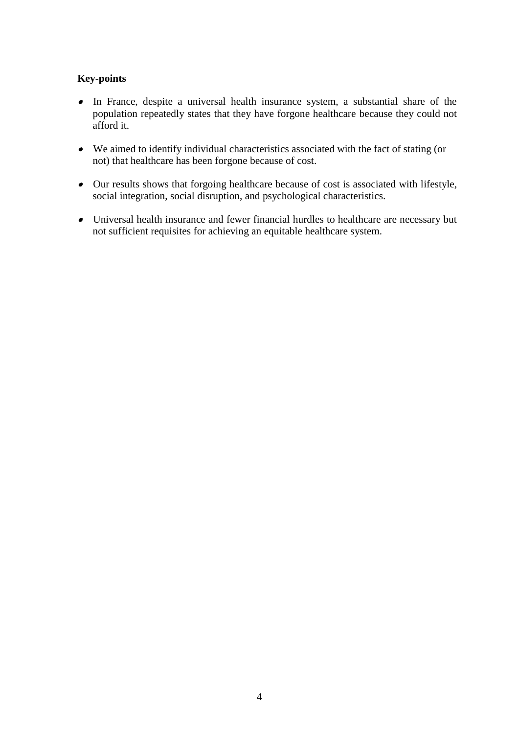## **Key-points**

- In France, despite a universal health insurance system, a substantial share of the population repeatedly states that they have forgone healthcare because they could not afford it.
- We aimed to identify individual characteristics associated with the fact of stating (or not) that healthcare has been forgone because of cost.
- Our results shows that forgoing healthcare because of cost is associated with lifestyle, social integration, social disruption, and psychological characteristics.
- Universal health insurance and fewer financial hurdles to healthcare are necessary but not sufficient requisites for achieving an equitable healthcare system.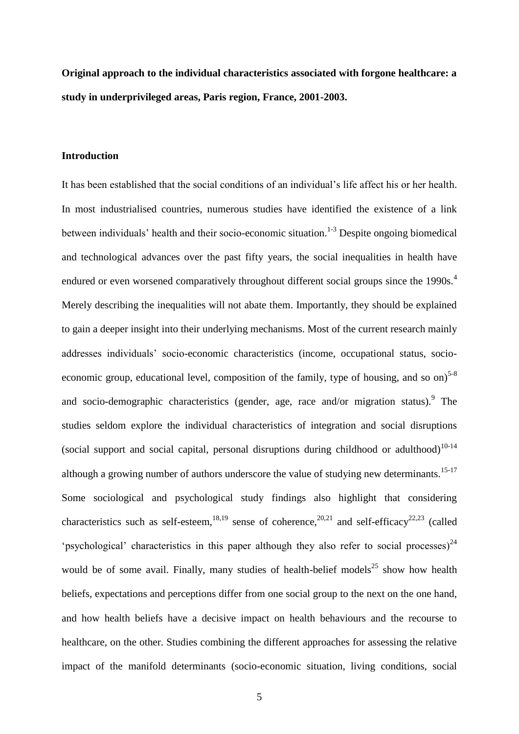**Original approach to the individual characteristics associated with forgone healthcare: a study in underprivileged areas, Paris region, France, 2001-2003.**

#### **Introduction**

It has been established that the social conditions of an individual"s life affect his or her health. In most industrialised countries, numerous studies have identified the existence of a link between individuals' health and their socio-economic situation.<sup>1-3</sup> Despite ongoing biomedical and technological advances over the past fifty years, the social inequalities in health have endured or even worsened comparatively throughout different social groups since the 1990s.<sup>4</sup> Merely describing the inequalities will not abate them. Importantly, they should be explained to gain a deeper insight into their underlying mechanisms. Most of the current research mainly addresses individuals" socio-economic characteristics (income, occupational status, socioeconomic group, educational level, composition of the family, type of housing, and so on)<sup>5-8</sup> and socio-demographic characteristics (gender, age, race and/or migration status). <sup>9</sup> The studies seldom explore the individual characteristics of integration and social disruptions (social support and social capital, personal disruptions during childhood or adulthood)<sup>10-14</sup> although a growing number of authors underscore the value of studying new determinants.<sup>15-17</sup> Some sociological and psychological study findings also highlight that considering characteristics such as self-esteem,<sup>18,19</sup> sense of coherence,<sup>20,21</sup> and self-efficacy<sup>22,23</sup> (called "psychological" characteristics in this paper although they also refer to social processes)<sup>24</sup> would be of some avail. Finally, many studies of health-belief models<sup>25</sup> show how health beliefs, expectations and perceptions differ from one social group to the next on the one hand, and how health beliefs have a decisive impact on health behaviours and the recourse to healthcare, on the other. Studies combining the different approaches for assessing the relative impact of the manifold determinants (socio-economic situation, living conditions, social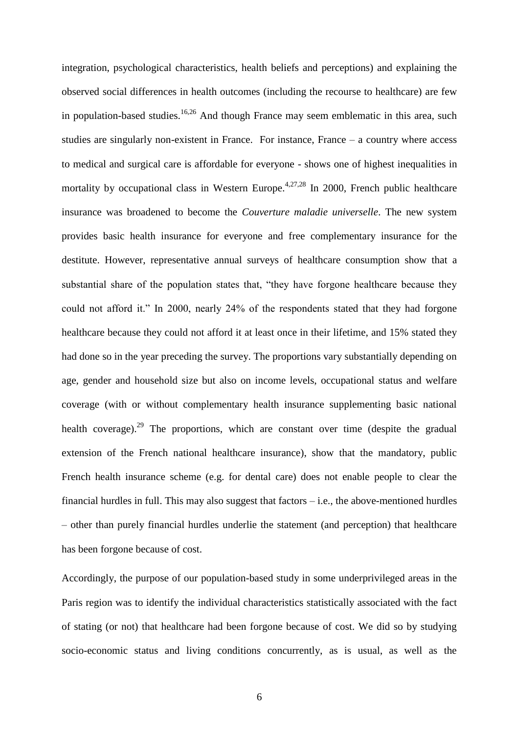integration, psychological characteristics, health beliefs and perceptions) and explaining the observed social differences in health outcomes (including the recourse to healthcare) are few in population-based studies.<sup>16,26</sup> And though France may seem emblematic in this area, such studies are singularly non-existent in France. For instance, France – a country where access to medical and surgical care is affordable for everyone - shows one of highest inequalities in mortality by occupational class in Western Europe.<sup>4,27,28</sup> In 2000, French public healthcare insurance was broadened to become the *Couverture maladie universelle*. The new system provides basic health insurance for everyone and free complementary insurance for the destitute. However, representative annual surveys of healthcare consumption show that a substantial share of the population states that, "they have forgone healthcare because they could not afford it." In 2000, nearly 24% of the respondents stated that they had forgone healthcare because they could not afford it at least once in their lifetime, and 15% stated they had done so in the year preceding the survey. The proportions vary substantially depending on age, gender and household size but also on income levels, occupational status and welfare coverage (with or without complementary health insurance supplementing basic national health coverage).<sup>29</sup> The proportions, which are constant over time (despite the gradual extension of the French national healthcare insurance), show that the mandatory, public French health insurance scheme (e.g. for dental care) does not enable people to clear the financial hurdles in full. This may also suggest that factors – i.e., the above-mentioned hurdles – other than purely financial hurdles underlie the statement (and perception) that healthcare has been forgone because of cost.

Accordingly, the purpose of our population-based study in some underprivileged areas in the Paris region was to identify the individual characteristics statistically associated with the fact of stating (or not) that healthcare had been forgone because of cost. We did so by studying socio-economic status and living conditions concurrently, as is usual, as well as the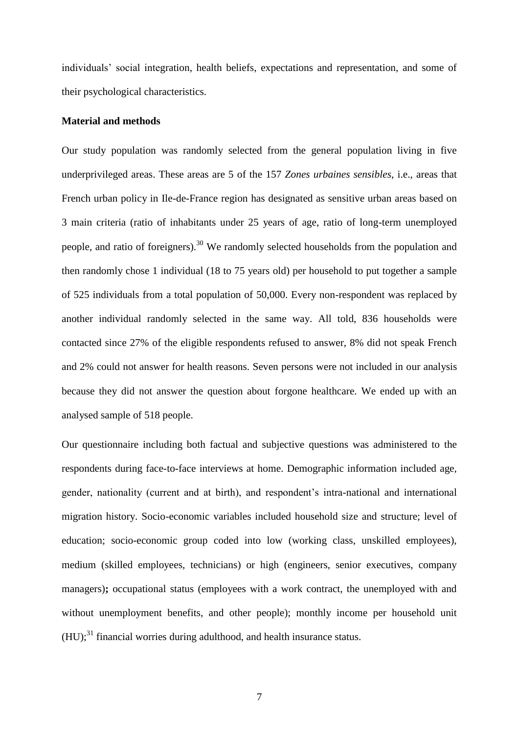individuals" social integration, health beliefs, expectations and representation, and some of their psychological characteristics.

#### **Material and methods**

Our study population was randomly selected from the general population living in five underprivileged areas. These areas are 5 of the 157 *Zones urbaines sensibles*, i.e., areas that French urban policy in Ile-de-France region has designated as sensitive urban areas based on 3 main criteria (ratio of inhabitants under 25 years of age, ratio of long-term unemployed people, and ratio of foreigners).<sup>30</sup> We randomly selected households from the population and then randomly chose 1 individual (18 to 75 years old) per household to put together a sample of 525 individuals from a total population of 50,000. Every non-respondent was replaced by another individual randomly selected in the same way. All told, 836 households were contacted since 27% of the eligible respondents refused to answer, 8% did not speak French and 2% could not answer for health reasons. Seven persons were not included in our analysis because they did not answer the question about forgone healthcare. We ended up with an analysed sample of 518 people.

Our questionnaire including both factual and subjective questions was administered to the respondents during face-to-face interviews at home. Demographic information included age, gender, nationality (current and at birth), and respondent"s intra-national and international migration history. Socio-economic variables included household size and structure; level of education; socio-economic group coded into low (working class, unskilled employees), medium (skilled employees, technicians) or high (engineers, senior executives, company managers)**;** occupational status (employees with a work contract, the unemployed with and without unemployment benefits, and other people); monthly income per household unit  $(HU)$ ;<sup>31</sup> financial worries during adulthood, and health insurance status.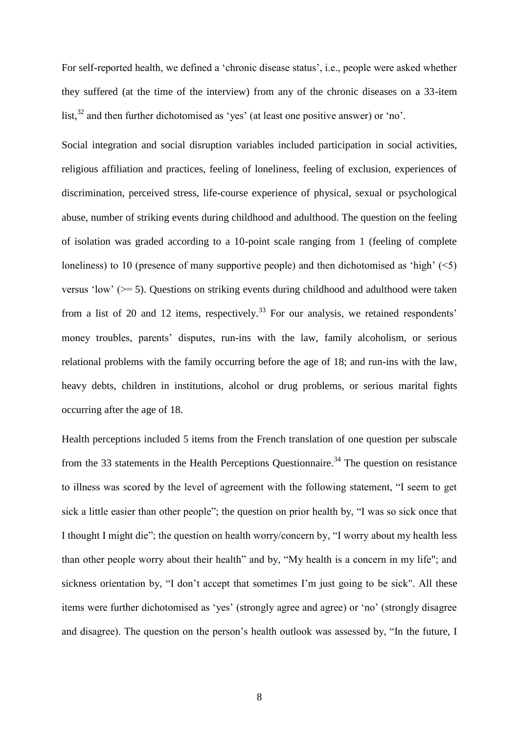For self-reported health, we defined a 'chronic disease status', i.e., people were asked whether they suffered (at the time of the interview) from any of the chronic diseases on a 33-item list, $32$  and then further dichotomised as 'yes' (at least one positive answer) or 'no'.

Social integration and social disruption variables included participation in social activities, religious affiliation and practices, feeling of loneliness, feeling of exclusion, experiences of discrimination, perceived stress, life-course experience of physical, sexual or psychological abuse, number of striking events during childhood and adulthood. The question on the feeling of isolation was graded according to a 10-point scale ranging from 1 (feeling of complete loneliness) to 10 (presence of many supportive people) and then dichotomised as 'high'  $(\leq 5)$ versus "low" (>= 5). Questions on striking events during childhood and adulthood were taken from a list of 20 and 12 items, respectively.<sup>33</sup> For our analysis, we retained respondents' money troubles, parents' disputes, run-ins with the law, family alcoholism, or serious relational problems with the family occurring before the age of 18; and run-ins with the law, heavy debts, children in institutions, alcohol or drug problems, or serious marital fights occurring after the age of 18.

Health perceptions included 5 items from the French translation of one question per subscale from the 33 statements in the Health Perceptions Questionnaire.<sup>34</sup> The question on resistance to illness was scored by the level of agreement with the following statement, "I seem to get sick a little easier than other people"; the question on prior health by, "I was so sick once that I thought I might die"; the question on health worry/concern by, "I worry about my health less than other people worry about their health" and by, "My health is a concern in my life"; and sickness orientation by, "I don't accept that sometimes I'm just going to be sick". All these items were further dichotomised as "yes" (strongly agree and agree) or "no" (strongly disagree and disagree). The question on the person"s health outlook was assessed by, "In the future, I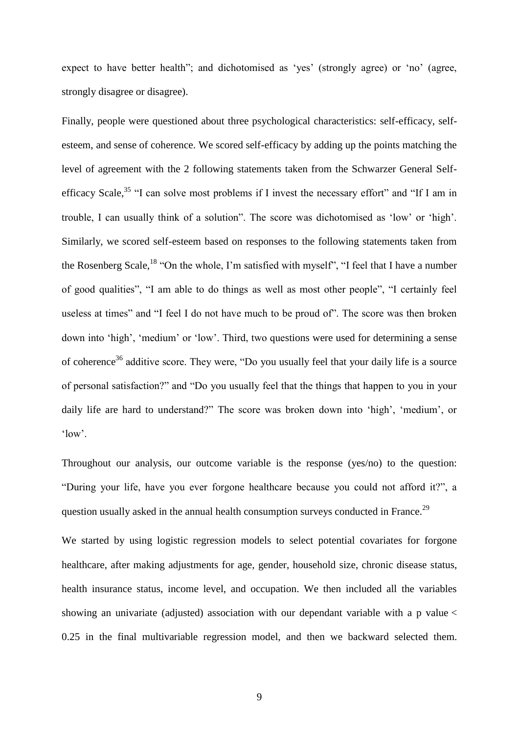expect to have better health"; and dichotomised as 'yes' (strongly agree) or 'no' (agree, strongly disagree or disagree).

Finally, people were questioned about three psychological characteristics: self-efficacy, selfesteem, and sense of coherence. We scored self-efficacy by adding up the points matching the level of agreement with the 2 following statements taken from the Schwarzer General Selfefficacy Scale,  $35$  "I can solve most problems if I invest the necessary effort" and "If I am in trouble, I can usually think of a solution". The score was dichotomised as "low" or "high". Similarly, we scored self-esteem based on responses to the following statements taken from the Rosenberg Scale,<sup>18</sup> "On the whole, I'm satisfied with myself", "I feel that I have a number of good qualities", "I am able to do things as well as most other people", "I certainly feel useless at times" and "I feel I do not have much to be proud of". The score was then broken down into 'high', 'medium' or 'low'. Third, two questions were used for determining a sense of coherence<sup>36</sup> additive score. They were, "Do you usually feel that your daily life is a source of personal satisfaction?" and "Do you usually feel that the things that happen to you in your daily life are hard to understand?" The score was broken down into 'high', 'medium', or 'low'.

Throughout our analysis, our outcome variable is the response (yes/no) to the question: "During your life, have you ever forgone healthcare because you could not afford it?", a question usually asked in the annual health consumption surveys conducted in France.<sup>29</sup>

We started by using logistic regression models to select potential covariates for forgone healthcare, after making adjustments for age, gender, household size, chronic disease status, health insurance status, income level, and occupation. We then included all the variables showing an univariate (adjusted) association with our dependant variable with a p value < 0.25 in the final multivariable regression model, and then we backward selected them.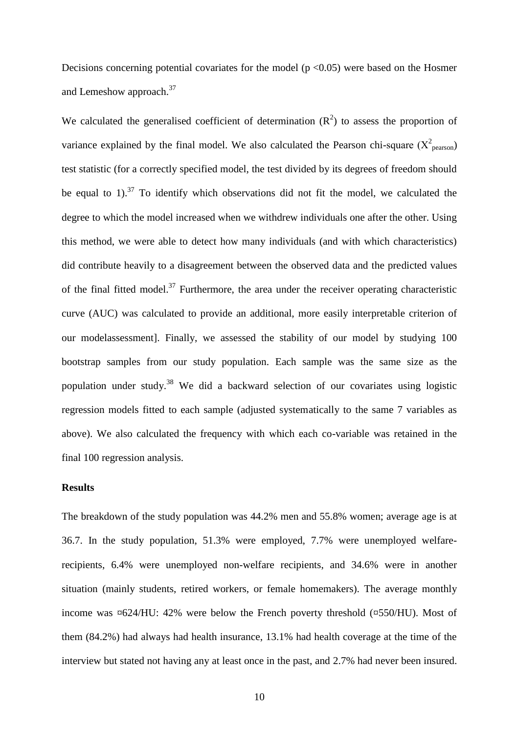Decisions concerning potential covariates for the model ( $p < 0.05$ ) were based on the Hosmer and Lemeshow approach.<sup>37</sup>

We calculated the generalised coefficient of determination  $(R^2)$  to assess the proportion of variance explained by the final model. We also calculated the Pearson chi-square  $(X^2_{\text{pearson}})$ test statistic (for a correctly specified model, the test divided by its degrees of freedom should be equal to 1).<sup>37</sup> To identify which observations did not fit the model, we calculated the degree to which the model increased when we withdrew individuals one after the other. Using this method, we were able to detect how many individuals (and with which characteristics) did contribute heavily to a disagreement between the observed data and the predicted values of the final fitted model.<sup>37</sup> Furthermore, the area under the receiver operating characteristic curve (AUC) was calculated to provide an additional, more easily interpretable criterion of our modelassessment]. Finally, we assessed the stability of our model by studying 100 bootstrap samples from our study population. Each sample was the same size as the population under study.<sup>38</sup> We did a backward selection of our covariates using logistic regression models fitted to each sample (adjusted systematically to the same 7 variables as above). We also calculated the frequency with which each co-variable was retained in the final 100 regression analysis.

#### **Results**

The breakdown of the study population was 44.2% men and 55.8% women; average age is at 36.7. In the study population, 51.3% were employed, 7.7% were unemployed welfarerecipients, 6.4% were unemployed non-welfare recipients, and 34.6% were in another situation (mainly students, retired workers, or female homemakers). The average monthly income was ¤624/HU: 42% were below the French poverty threshold (¤550/HU). Most of them (84.2%) had always had health insurance, 13.1% had health coverage at the time of the interview but stated not having any at least once in the past, and 2.7% had never been insured.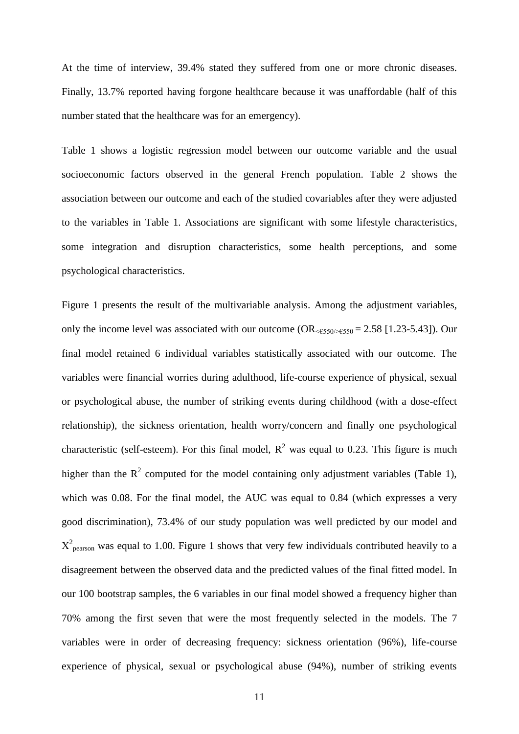At the time of interview, 39.4% stated they suffered from one or more chronic diseases. Finally, 13.7% reported having forgone healthcare because it was unaffordable (half of this number stated that the healthcare was for an emergency).

Table 1 shows a logistic regression model between our outcome variable and the usual socioeconomic factors observed in the general French population. Table 2 shows the association between our outcome and each of the studied covariables after they were adjusted to the variables in Table 1. Associations are significant with some lifestyle characteristics, some integration and disruption characteristics, some health perceptions, and some psychological characteristics.

Figure 1 presents the result of the multivariable analysis. Among the adjustment variables, only the income level was associated with our outcome  $OR_{\leq 550 \leq 550} = 2.58$  [1.23-5.43]). Our final model retained 6 individual variables statistically associated with our outcome. The variables were financial worries during adulthood, life-course experience of physical, sexual or psychological abuse, the number of striking events during childhood (with a dose-effect relationship), the sickness orientation, health worry/concern and finally one psychological characteristic (self-esteem). For this final model,  $R^2$  was equal to 0.23. This figure is much higher than the  $R^2$  computed for the model containing only adjustment variables (Table 1), which was 0.08. For the final model, the AUC was equal to 0.84 (which expresses a very good discrimination), 73.4% of our study population was well predicted by our model and  $X^{2}$ <sub>pearson</sub> was equal to 1.00. Figure 1 shows that very few individuals contributed heavily to a disagreement between the observed data and the predicted values of the final fitted model. In our 100 bootstrap samples, the 6 variables in our final model showed a frequency higher than 70% among the first seven that were the most frequently selected in the models. The 7 variables were in order of decreasing frequency: sickness orientation (96%), life-course experience of physical, sexual or psychological abuse (94%), number of striking events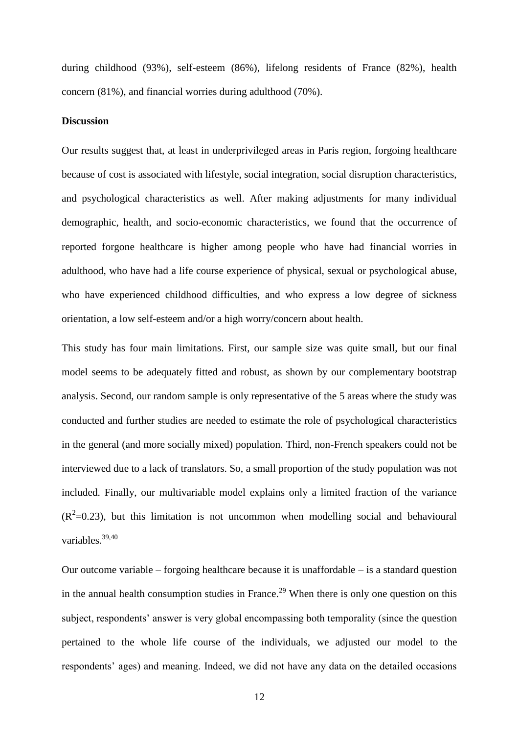during childhood (93%), self-esteem (86%), lifelong residents of France (82%), health concern (81%), and financial worries during adulthood (70%).

#### **Discussion**

Our results suggest that, at least in underprivileged areas in Paris region, forgoing healthcare because of cost is associated with lifestyle, social integration, social disruption characteristics, and psychological characteristics as well. After making adjustments for many individual demographic, health, and socio-economic characteristics, we found that the occurrence of reported forgone healthcare is higher among people who have had financial worries in adulthood, who have had a life course experience of physical, sexual or psychological abuse, who have experienced childhood difficulties, and who express a low degree of sickness orientation, a low self-esteem and/or a high worry/concern about health.

This study has four main limitations. First, our sample size was quite small, but our final model seems to be adequately fitted and robust, as shown by our complementary bootstrap analysis. Second, our random sample is only representative of the 5 areas where the study was conducted and further studies are needed to estimate the role of psychological characteristics in the general (and more socially mixed) population. Third, non-French speakers could not be interviewed due to a lack of translators. So, a small proportion of the study population was not included. Finally, our multivariable model explains only a limited fraction of the variance  $(R^2=0.23)$ , but this limitation is not uncommon when modelling social and behavioural variables.39,40

Our outcome variable – forgoing healthcare because it is unaffordable – is a standard question in the annual health consumption studies in France.<sup>29</sup> When there is only one question on this subject, respondents' answer is very global encompassing both temporality (since the question pertained to the whole life course of the individuals, we adjusted our model to the respondents' ages) and meaning. Indeed, we did not have any data on the detailed occasions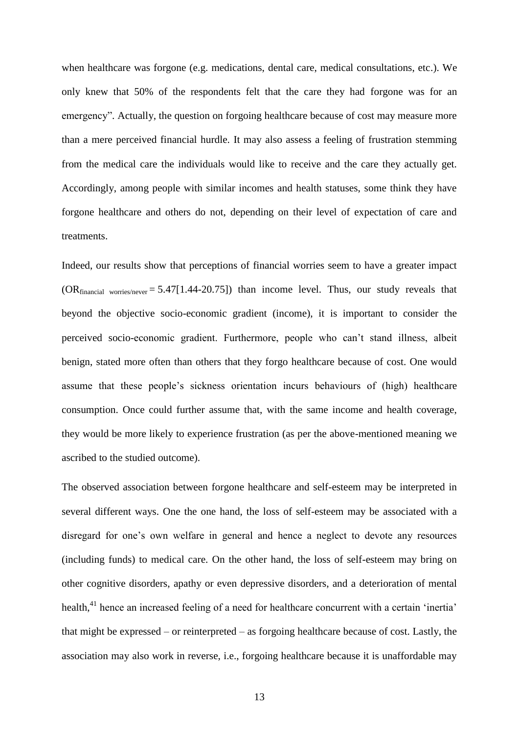when healthcare was forgone (e.g. medications, dental care, medical consultations, etc.). We only knew that 50% of the respondents felt that the care they had forgone was for an emergency". Actually, the question on forgoing healthcare because of cost may measure more than a mere perceived financial hurdle. It may also assess a feeling of frustration stemming from the medical care the individuals would like to receive and the care they actually get. Accordingly, among people with similar incomes and health statuses, some think they have forgone healthcare and others do not, depending on their level of expectation of care and treatments.

Indeed, our results show that perceptions of financial worries seem to have a greater impact  $(OR_{financial}$  worries/never = 5.47[1.44-20.75]) than income level. Thus, our study reveals that beyond the objective socio-economic gradient (income), it is important to consider the perceived socio-economic gradient. Furthermore, people who can"t stand illness, albeit benign, stated more often than others that they forgo healthcare because of cost. One would assume that these people"s sickness orientation incurs behaviours of (high) healthcare consumption. Once could further assume that, with the same income and health coverage, they would be more likely to experience frustration (as per the above-mentioned meaning we ascribed to the studied outcome).

The observed association between forgone healthcare and self-esteem may be interpreted in several different ways. One the one hand, the loss of self-esteem may be associated with a disregard for one's own welfare in general and hence a neglect to devote any resources (including funds) to medical care. On the other hand, the loss of self-esteem may bring on other cognitive disorders, apathy or even depressive disorders, and a deterioration of mental health,<sup>41</sup> hence an increased feeling of a need for healthcare concurrent with a certain 'inertia' that might be expressed – or reinterpreted – as forgoing healthcare because of cost. Lastly, the association may also work in reverse, i.e., forgoing healthcare because it is unaffordable may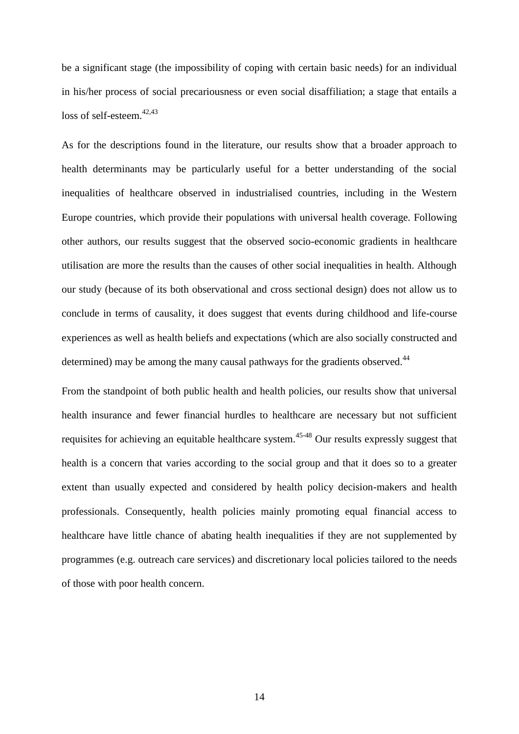be a significant stage (the impossibility of coping with certain basic needs) for an individual in his/her process of social precariousness or even social disaffiliation; a stage that entails a loss of self-esteem.<sup>42,43</sup>

As for the descriptions found in the literature, our results show that a broader approach to health determinants may be particularly useful for a better understanding of the social inequalities of healthcare observed in industrialised countries, including in the Western Europe countries, which provide their populations with universal health coverage. Following other authors, our results suggest that the observed socio-economic gradients in healthcare utilisation are more the results than the causes of other social inequalities in health. Although our study (because of its both observational and cross sectional design) does not allow us to conclude in terms of causality, it does suggest that events during childhood and life-course experiences as well as health beliefs and expectations (which are also socially constructed and determined) may be among the many causal pathways for the gradients observed.<sup>44</sup>

From the standpoint of both public health and health policies, our results show that universal health insurance and fewer financial hurdles to healthcare are necessary but not sufficient requisites for achieving an equitable healthcare system.<sup>45-48</sup> Our results expressly suggest that health is a concern that varies according to the social group and that it does so to a greater extent than usually expected and considered by health policy decision-makers and health professionals. Consequently, health policies mainly promoting equal financial access to healthcare have little chance of abating health inequalities if they are not supplemented by programmes (e.g. outreach care services) and discretionary local policies tailored to the needs of those with poor health concern.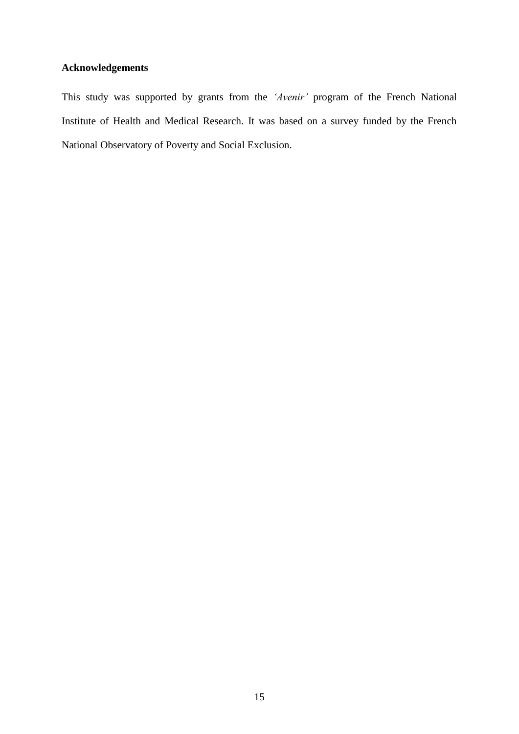# **Acknowledgements**

This study was supported by grants from the *'Avenir'* program of the French National Institute of Health and Medical Research. It was based on a survey funded by the French National Observatory of Poverty and Social Exclusion.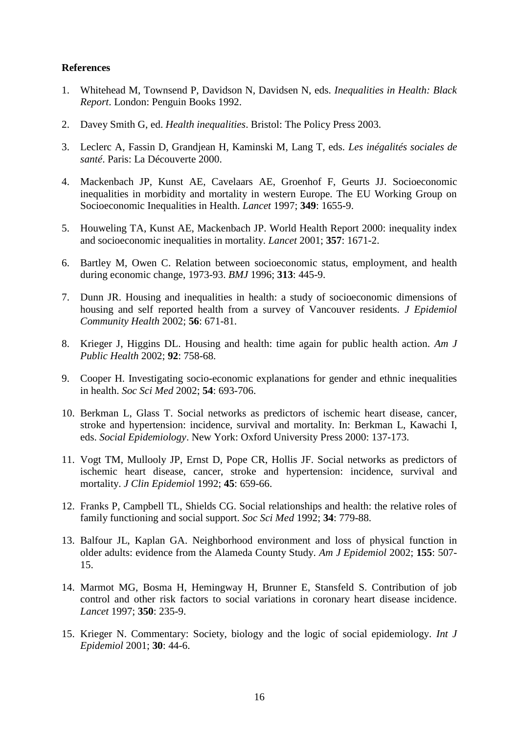#### **References**

- 1. Whitehead M, Townsend P, Davidson N, Davidsen N, eds. *Inequalities in Health: Black Report*. London: Penguin Books 1992.
- 2. Davey Smith G, ed. *Health inequalities*. Bristol: The Policy Press 2003.
- 3. Leclerc A, Fassin D, Grandjean H, Kaminski M, Lang T, eds. *Les inégalités sociales de santé*. Paris: La Découverte 2000.
- 4. Mackenbach JP, Kunst AE, Cavelaars AE, Groenhof F, Geurts JJ. Socioeconomic inequalities in morbidity and mortality in western Europe. The EU Working Group on Socioeconomic Inequalities in Health. *Lancet* 1997; **349**: 1655-9.
- 5. Houweling TA, Kunst AE, Mackenbach JP. World Health Report 2000: inequality index and socioeconomic inequalities in mortality. *Lancet* 2001; **357**: 1671-2.
- 6. Bartley M, Owen C. Relation between socioeconomic status, employment, and health during economic change, 1973-93. *BMJ* 1996; **313**: 445-9.
- 7. Dunn JR. Housing and inequalities in health: a study of socioeconomic dimensions of housing and self reported health from a survey of Vancouver residents. *J Epidemiol Community Health* 2002; **56**: 671-81.
- 8. Krieger J, Higgins DL. Housing and health: time again for public health action. *Am J Public Health* 2002; **92**: 758-68.
- 9. Cooper H. Investigating socio-economic explanations for gender and ethnic inequalities in health. *Soc Sci Med* 2002; **54**: 693-706.
- 10. Berkman L, Glass T. Social networks as predictors of ischemic heart disease, cancer, stroke and hypertension: incidence, survival and mortality. In: Berkman L, Kawachi I, eds. *Social Epidemiology*. New York: Oxford University Press 2000: 137-173.
- 11. Vogt TM, Mullooly JP, Ernst D, Pope CR, Hollis JF. Social networks as predictors of ischemic heart disease, cancer, stroke and hypertension: incidence, survival and mortality. *J Clin Epidemiol* 1992; **45**: 659-66.
- 12. Franks P, Campbell TL, Shields CG. Social relationships and health: the relative roles of family functioning and social support. *Soc Sci Med* 1992; **34**: 779-88.
- 13. Balfour JL, Kaplan GA. Neighborhood environment and loss of physical function in older adults: evidence from the Alameda County Study. *Am J Epidemiol* 2002; **155**: 507- 15.
- 14. Marmot MG, Bosma H, Hemingway H, Brunner E, Stansfeld S. Contribution of job control and other risk factors to social variations in coronary heart disease incidence. *Lancet* 1997; **350**: 235-9.
- 15. Krieger N. Commentary: Society, biology and the logic of social epidemiology. *Int J Epidemiol* 2001; **30**: 44-6.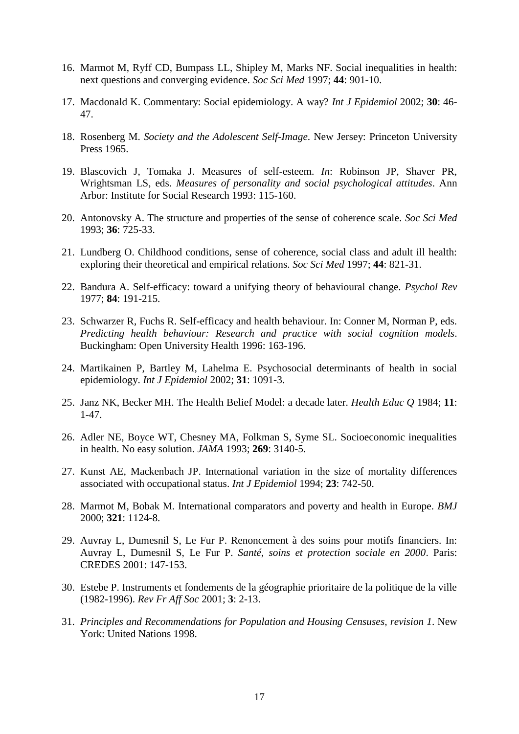- 16. Marmot M, Ryff CD, Bumpass LL, Shipley M, Marks NF. Social inequalities in health: next questions and converging evidence. *Soc Sci Med* 1997; **44**: 901-10.
- 17. Macdonald K. Commentary: Social epidemiology. A way? *Int J Epidemiol* 2002; **30**: 46- 47.
- 18. Rosenberg M. *Society and the Adolescent Self-Image*. New Jersey: Princeton University Press 1965.
- 19. Blascovich J, Tomaka J. Measures of self-esteem. *In*: Robinson JP, Shaver PR, Wrightsman LS, eds. *Measures of personality and social psychological attitudes*. Ann Arbor: Institute for Social Research 1993: 115-160.
- 20. Antonovsky A. The structure and properties of the sense of coherence scale. *Soc Sci Med*  1993; **36**: 725-33.
- 21. Lundberg O. Childhood conditions, sense of coherence, social class and adult ill health: exploring their theoretical and empirical relations. *Soc Sci Med* 1997; **44**: 821-31.
- 22. Bandura A. Self-efficacy: toward a unifying theory of behavioural change. *Psychol Rev* 1977; **84**: 191-215.
- 23. Schwarzer R, Fuchs R. Self-efficacy and health behaviour. In: Conner M, Norman P, eds. *Predicting health behaviour: Research and practice with social cognition models*. Buckingham: Open University Health 1996: 163-196.
- 24. Martikainen P, Bartley M, Lahelma E. Psychosocial determinants of health in social epidemiology. *Int J Epidemiol* 2002; **31**: 1091-3.
- 25. Janz NK, Becker MH. The Health Belief Model: a decade later. *Health Educ Q* 1984; **11**: 1-47.
- 26. Adler NE, Boyce WT, Chesney MA, Folkman S, Syme SL. Socioeconomic inequalities in health. No easy solution. *JAMA* 1993; **269**: 3140-5.
- 27. Kunst AE, Mackenbach JP. International variation in the size of mortality differences associated with occupational status. *Int J Epidemiol* 1994; **23**: 742-50.
- 28. Marmot M, Bobak M. International comparators and poverty and health in Europe. *BMJ* 2000; **321**: 1124-8.
- 29. Auvray L, Dumesnil S, Le Fur P. Renoncement à des soins pour motifs financiers. In: Auvray L, Dumesnil S, Le Fur P. *Santé, soins et protection sociale en 2000*. Paris: CREDES 2001: 147-153.
- 30. Estebe P. Instruments et fondements de la géographie prioritaire de la politique de la ville (1982-1996). *Rev Fr Aff Soc* 2001; **3**: 2-13.
- 31. *Principles and Recommendations for Population and Housing Censuses, revision 1*. New York: United Nations 1998.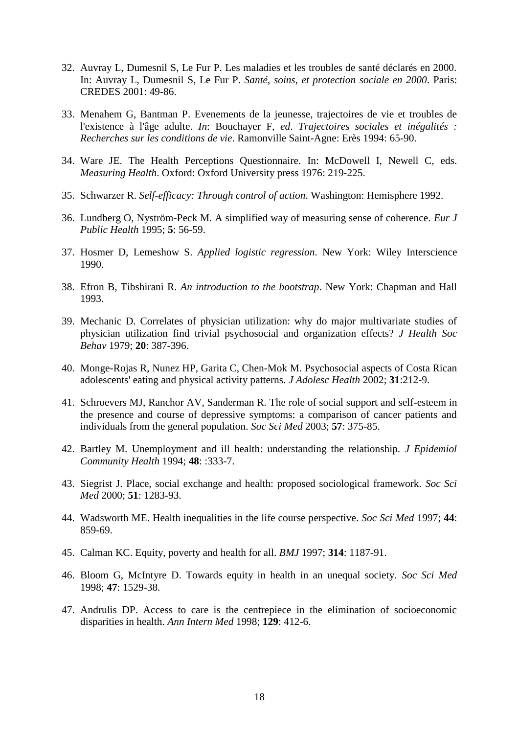- 32. Auvray L, Dumesnil S, Le Fur P. Les maladies et les troubles de santé déclarés en 2000. In: Auvray L, Dumesnil S, Le Fur P. *Santé, soins, et protection sociale en 2000*. Paris: CREDES 2001: 49-86.
- 33. Menahem G, Bantman P. Evenements de la jeunesse, trajectoires de vie et troubles de l'existence à l'âge adulte. *In*: Bouchayer F, *ed*. *Trajectoires sociales et inégalités : Recherches sur les conditions de vie*. Ramonville Saint-Agne: Erès 1994: 65-90.
- 34. Ware JE. The Health Perceptions Questionnaire. In: McDowell I, Newell C, eds. *Measuring Health*. Oxford: Oxford University press 1976: 219-225.
- 35. Schwarzer R. *Self-efficacy: Through control of action*. Washington: Hemisphere 1992.
- 36. Lundberg O, Nyström-Peck M. A simplified way of measuring sense of coherence. *Eur J Public Health* 1995; **5**: 56-59.
- 37. Hosmer D, Lemeshow S. *Applied logistic regression*. New York: Wiley Interscience 1990.
- 38. Efron B, Tibshirani R. *An introduction to the bootstrap*. New York: Chapman and Hall 1993.
- 39. Mechanic D. Correlates of physician utilization: why do major multivariate studies of physician utilization find trivial psychosocial and organization effects? *J Health Soc Behav* 1979; **20**: 387-396.
- 40. Monge-Rojas R, Nunez HP, Garita C, Chen-Mok M. Psychosocial aspects of Costa Rican adolescents' eating and physical activity patterns. *J Adolesc Health* 2002; **31**:212-9.
- 41. Schroevers MJ, Ranchor AV, Sanderman R. The role of social support and self-esteem in the presence and course of depressive symptoms: a comparison of cancer patients and individuals from the general population. *Soc Sci Med* 2003; **57**: 375-85.
- 42. Bartley M. Unemployment and ill health: understanding the relationship. *J Epidemiol Community Health* 1994; **48**: :333-7.
- 43. Siegrist J. Place, social exchange and health: proposed sociological framework. *Soc Sci Med* 2000; **51**: 1283-93.
- 44. Wadsworth ME. Health inequalities in the life course perspective. *Soc Sci Med* 1997; **44**: 859-69.
- 45. Calman KC. Equity, poverty and health for all. *BMJ* 1997; **314**: 1187-91.
- 46. Bloom G, McIntyre D. Towards equity in health in an unequal society. *Soc Sci Med* 1998; **47**: 1529-38.
- 47. Andrulis DP. Access to care is the centrepiece in the elimination of socioeconomic disparities in health. *Ann Intern Med* 1998; **129**: 412-6.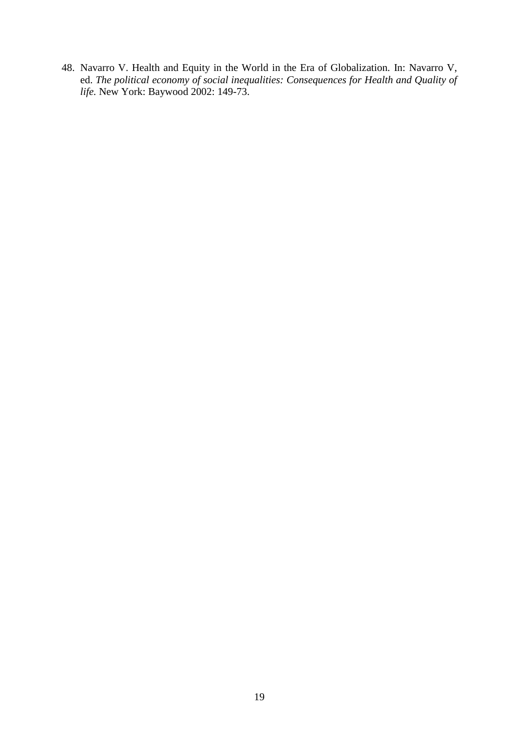48. Navarro V. Health and Equity in the World in the Era of Globalization. In: Navarro V, ed. *The political economy of social inequalities: Consequences for Health and Quality of life.* New York: Baywood 2002: 149-73.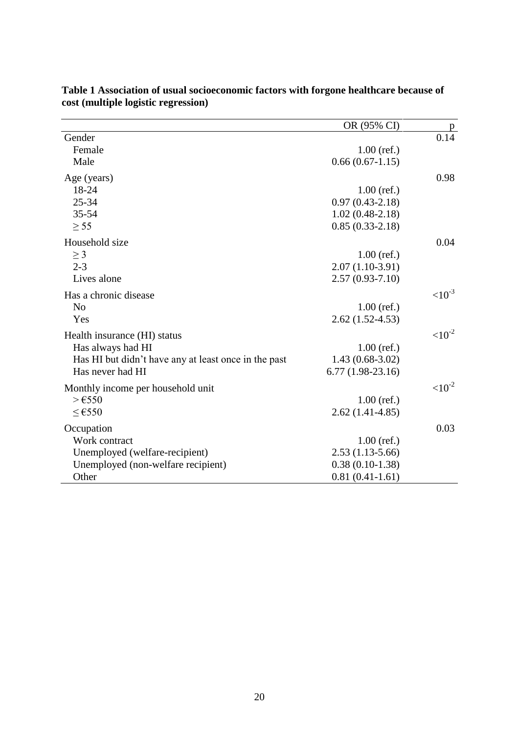|                                                      | OR (95% CI)         |             |
|------------------------------------------------------|---------------------|-------------|
| Gender                                               |                     | 0.14        |
| Female                                               | $1.00$ (ref.)       |             |
| Male                                                 | $0.66(0.67-1.15)$   |             |
| Age (years)                                          |                     | 0.98        |
| 18-24                                                | $1.00$ (ref.)       |             |
| $25 - 34$                                            | $0.97(0.43 - 2.18)$ |             |
| 35-54                                                | $1.02(0.48-2.18)$   |             |
| $\geq$ 55                                            | $0.85(0.33-2.18)$   |             |
| Household size                                       |                     | 0.04        |
| $\geq$ 3                                             | $1.00$ (ref.)       |             |
| $2 - 3$                                              | $2.07(1.10-3.91)$   |             |
| Lives alone                                          | $2.57(0.93 - 7.10)$ |             |
| Has a chronic disease                                |                     | $< 10^{-3}$ |
| N <sub>o</sub>                                       | $1.00$ (ref.)       |             |
| Yes                                                  | $2.62(1.52-4.53)$   |             |
| Health insurance (HI) status                         |                     | $< 10^{-2}$ |
| Has always had HI                                    | $1.00$ (ref.)       |             |
| Has HI but didn't have any at least once in the past | $1.43(0.68-3.02)$   |             |
| Has never had HI                                     | $6.77(1.98-23.16)$  |             |
| Monthly income per household unit                    |                     | $<10^{-2}$  |
| $>\epsilon$ 550                                      | $1.00$ (ref.)       |             |
| $≤$ €550                                             | $2.62(1.41-4.85)$   |             |
| Occupation                                           |                     | 0.03        |
| Work contract                                        | $1.00$ (ref.)       |             |
| Unemployed (welfare-recipient)                       | $2.53(1.13-5.66)$   |             |
| Unemployed (non-welfare recipient)                   | $0.38(0.10-1.38)$   |             |
| Other                                                | $0.81(0.41-1.61)$   |             |

#### **Table 1 Association of usual socioeconomic factors with forgone healthcare because of cost (multiple logistic regression)**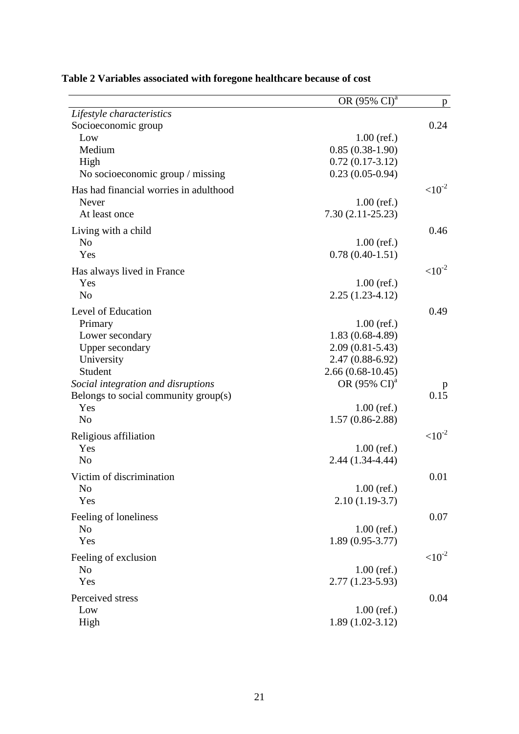|                                        | OR (95% CI) <sup>a</sup> | p.           |
|----------------------------------------|--------------------------|--------------|
| Lifestyle characteristics              |                          |              |
| Socioeconomic group                    |                          | 0.24         |
| Low                                    | $1.00$ (ref.)            |              |
| Medium                                 | $0.85(0.38-1.90)$        |              |
| High                                   | $0.72(0.17-3.12)$        |              |
| No socioeconomic group / missing       | $0.23(0.05-0.94)$        |              |
| Has had financial worries in adulthood |                          | $< 10^{-2}$  |
| Never                                  | $1.00$ (ref.)            |              |
| At least once                          | $7.30(2.11-25.23)$       |              |
| Living with a child                    |                          | 0.46         |
| N <sub>o</sub>                         | $1.00$ (ref.)            |              |
| Yes                                    | $0.78(0.40-1.51)$        |              |
|                                        |                          | $<10^{-2}$   |
| Has always lived in France<br>Yes      | $1.00$ (ref.)            |              |
| N <sub>o</sub>                         | $2.25(1.23-4.12)$        |              |
|                                        |                          |              |
| Level of Education                     |                          | 0.49         |
| Primary                                | $1.00$ (ref.)            |              |
| Lower secondary                        | $1.83(0.68-4.89)$        |              |
| <b>Upper secondary</b>                 | $2.09(0.81 - 5.43)$      |              |
| University                             | $2.47(0.88-6.92)$        |              |
| Student                                | $2.66(0.68-10.45)$       |              |
| Social integration and disruptions     | OR (95% CI) <sup>a</sup> | p            |
| Belongs to social community group(s)   |                          | 0.15         |
| Yes                                    | $1.00$ (ref.)            |              |
| N <sub>o</sub>                         | $1.57(0.86-2.88)$        |              |
| Religious affiliation                  |                          | ${<}10^{-2}$ |
| Yes                                    | $1.00$ (ref.)            |              |
| N <sub>o</sub>                         | $2.44(1.34-4.44)$        |              |
| Victim of discrimination               |                          | 0.01         |
| N <sub>o</sub>                         | $1.00$ (ref.)            |              |
| Yes                                    | $2.10(1.19-3.7)$         |              |
|                                        |                          |              |
| Feeling of loneliness                  |                          | 0.07         |
| N <sub>o</sub>                         | $1.00$ (ref.)            |              |
| Yes                                    | $1.89(0.95-3.77)$        |              |
| Feeling of exclusion                   |                          | $<10^{-2}$   |
| N <sub>o</sub>                         | $1.00$ (ref.)            |              |
| Yes                                    | $2.77(1.23 - 5.93)$      |              |
| Perceived stress                       |                          | 0.04         |
| Low                                    | $1.00$ (ref.)            |              |
| High                                   | $1.89(1.02-3.12)$        |              |
|                                        |                          |              |

# **Table 2 Variables associated with foregone healthcare because of cost**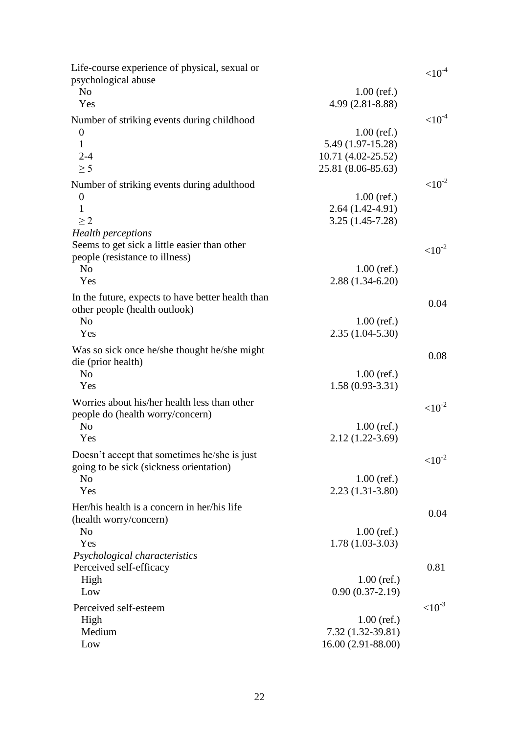| Life-course experience of physical, sexual or     |                                    | ${<}10^{-4}$ |
|---------------------------------------------------|------------------------------------|--------------|
| psychological abuse                               |                                    |              |
| N <sub>o</sub>                                    | $1.00$ (ref.)                      |              |
| Yes                                               | 4.99 (2.81-8.88)                   |              |
| Number of striking events during childhood        |                                    | ${<}10^{-4}$ |
| $\boldsymbol{0}$                                  | $1.00$ (ref.)                      |              |
| $\mathbf{1}$                                      | 5.49 (1.97-15.28)                  |              |
| $2 - 4$                                           | 10.71 (4.02-25.52)                 |              |
| $\geq$ 5                                          | 25.81 (8.06-85.63)                 |              |
| Number of striking events during adulthood        |                                    | $<10^{-2}$   |
| $\boldsymbol{0}$                                  | $1.00$ (ref.)                      |              |
| 1                                                 | $2.64(1.42-4.91)$                  |              |
| $\geq$ 2                                          | $3.25(1.45-7.28)$                  |              |
| <b>Health</b> perceptions                         |                                    |              |
| Seems to get sick a little easier than other      |                                    |              |
| people (resistance to illness)                    |                                    | ${<}10^{-2}$ |
| N <sub>o</sub>                                    | $1.00$ (ref.)                      |              |
| Yes                                               | $2.88(1.34-6.20)$                  |              |
| In the future, expects to have better health than |                                    |              |
| other people (health outlook)                     |                                    | 0.04         |
| N <sub>o</sub>                                    | $1.00$ (ref.)                      |              |
| Yes                                               | $2.35(1.04-5.30)$                  |              |
|                                                   |                                    |              |
| Was so sick once he/she thought he/she might      |                                    | 0.08         |
| die (prior health)<br>N <sub>0</sub>              |                                    |              |
| Yes                                               | $1.00$ (ref.)<br>$1.58(0.93-3.31)$ |              |
|                                                   |                                    |              |
| Worries about his/her health less than other      |                                    | $<10^{-2}$   |
| people do (health worry/concern)                  |                                    |              |
| N <sub>o</sub>                                    | $1.00$ (ref.)                      |              |
| Yes                                               | $2.12(1.22 - 3.69)$                |              |
| Doesn't accept that sometimes he/she is just      |                                    | $<10^{-2}$   |
| going to be sick (sickness orientation)           |                                    |              |
| N <sub>o</sub>                                    | $1.00$ (ref.)                      |              |
| Yes                                               | $2.23(1.31-3.80)$                  |              |
| Her/his health is a concern in her/his life       |                                    |              |
| (health worry/concern)                            |                                    | 0.04         |
| N <sub>o</sub>                                    | $1.00$ (ref.)                      |              |
| Yes                                               | $1.78(1.03-3.03)$                  |              |
| Psychological characteristics                     |                                    |              |
| Perceived self-efficacy                           |                                    | 0.81         |
| High                                              | $1.00$ (ref.)                      |              |
| Low                                               | $0.90(0.37-2.19)$                  |              |
| Perceived self-esteem                             |                                    | ${<}10^{-3}$ |
| High                                              | $1.00$ (ref.)                      |              |
| Medium                                            | 7.32 (1.32-39.81)                  |              |
| Low                                               | 16.00 (2.91-88.00)                 |              |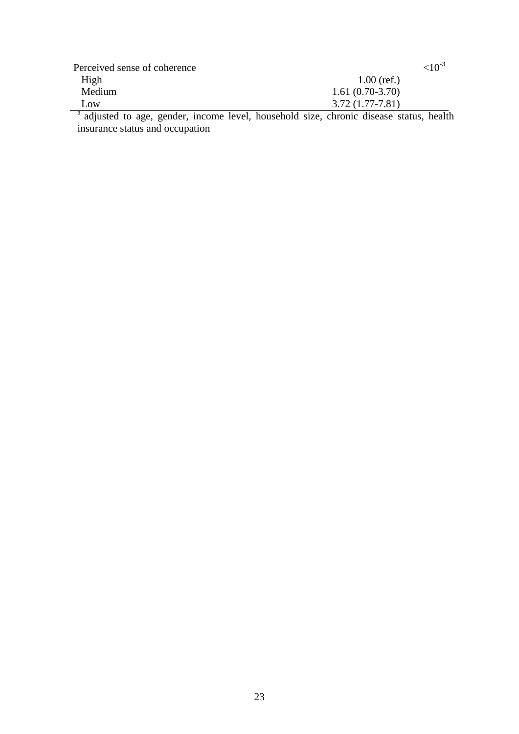| Perceived sense of coherence | $< 10^{-3}$       |
|------------------------------|-------------------|
| High                         | $1.00$ (ref.)     |
| Medium                       | $1.61(0.70-3.70)$ |
| Low.                         | $3.72(1.77-7.81)$ |

<sup>a</sup> adjusted to age, gender, income level, household size, chronic disease status, health insurance status and occupation